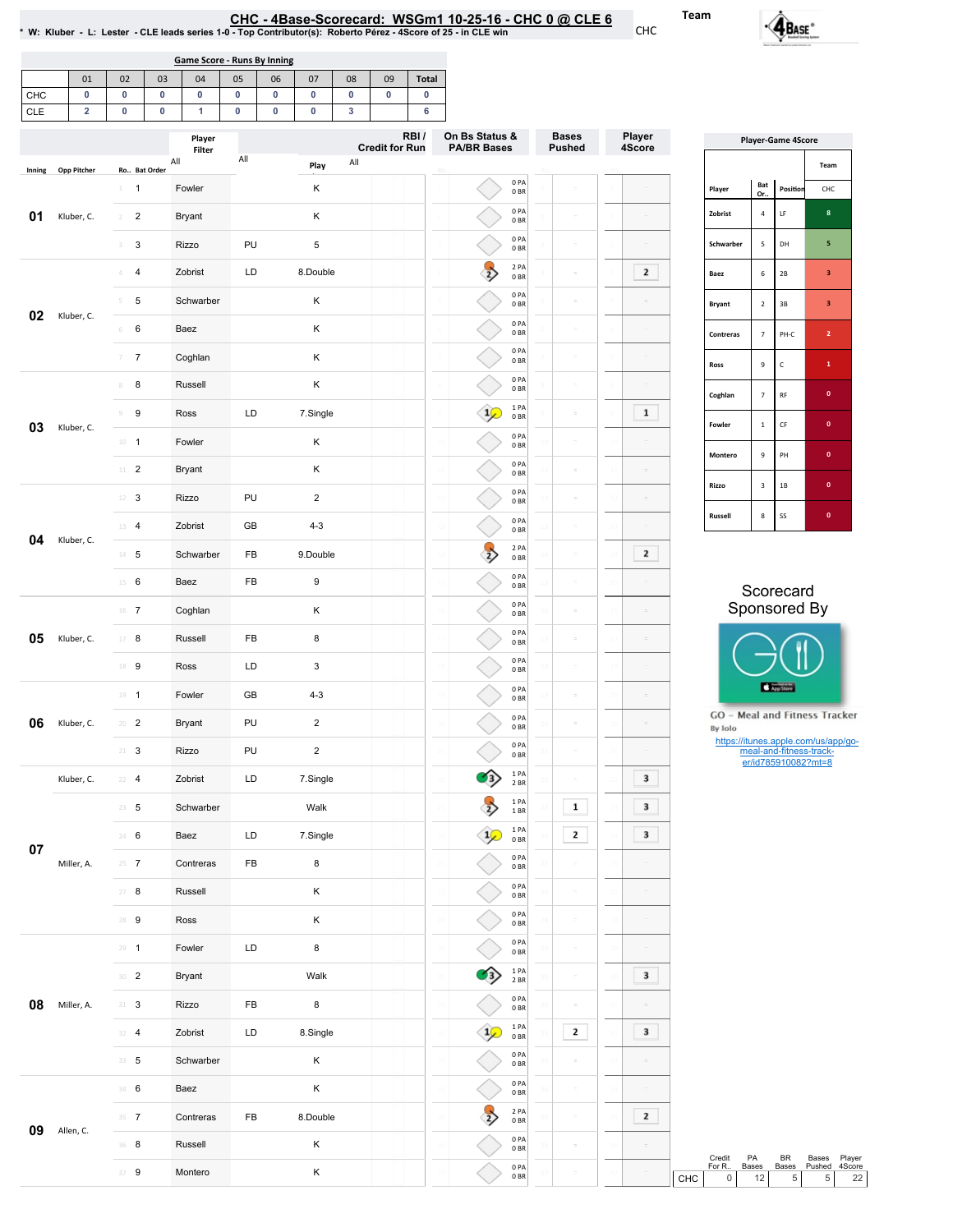## EHC-4Base-Scorecard:WSGm110-25-16-CHC0@ CLE6 هـCHC-14Base-Scorecard:WSGm110-25-16<br>W: Kluber - L: Lester - CLE leads series 1-0 - Top Contributor(s): Roberto Pérez - 4Score of 25 - in CLE win \*

0PA 0BR 0PA 0BR 0PA 0BR 2PA 0BR 0PA 0BR 0PA 0BR 0PA 0BR 0PA 0BR 1PA 0BR 0PA 0BR 0PA 0BR 0PA 0BR 0PA 0BR

 $\Rightarrow$ 

€

Bases Pushed

> $\bar{\gamma}$  $\alpha$  $\alpha$

 $\bar{z}$ 

 $\bar{\gamma}$  $\alpha$  $\bar{\omega}$ 

 $\alpha$  $\bar{z}$ 

 $\alpha$  $\bar{\omega}$ 

 $\bar{\gamma}$ 

 $\sigma$ 

All Play All

|            | Game Score - Runs By Inning                                        |   |   |                         |        |   |   |   |                       |      |                                      |  |  |  |
|------------|--------------------------------------------------------------------|---|---|-------------------------|--------|---|---|---|-----------------------|------|--------------------------------------|--|--|--|
|            | <b>Total</b><br>01<br>02<br>05<br>07<br>08<br>09<br>03<br>04<br>06 |   |   |                         |        |   |   |   |                       |      |                                      |  |  |  |
| <b>CHC</b> | 0                                                                  | 0 | 0 | 0                       | 0      | 0 | 0 | 0 | 0                     | 0    |                                      |  |  |  |
| CLE        | ,                                                                  | 0 | 0 |                         | 0      | 0 | 0 | 3 |                       | 6    |                                      |  |  |  |
|            |                                                                    |   |   | Player<br><b>Filter</b> | $\sim$ |   |   |   | <b>Credit for Run</b> | RBI/ | On Bs Status &<br><b>PA/BR Bases</b> |  |  |  |

1 1 Fowler K 2 2 Bryant K 3 3 Rizzo PU 5

All

4 4 Zobrist LD 8.Double 5 5 Schwarber K 6 6 Baez K 7 7 Coghlan K

8 8 Russell K 9 Ross LD 7.Single **1 Fowler K** 2 Bryant K

12 3 Rizzo PU 2 13 4 Zobrist GB 4-3

Inning Opp Pitcher Ro.. Bat Order

01 Kluber, C.

02 Kluber, C.

03 Kluber, C.

| <b>Player-Game 4Score</b> |                |           |                |  |  |  |  |  |  |  |  |
|---------------------------|----------------|-----------|----------------|--|--|--|--|--|--|--|--|
|                           |                |           | Team           |  |  |  |  |  |  |  |  |
| Player                    | Bat<br>Or      | Position  | CHC            |  |  |  |  |  |  |  |  |
| Zobrist                   | 4              | LF        | 8              |  |  |  |  |  |  |  |  |
| Schwarber                 | 5              | DH        | 5              |  |  |  |  |  |  |  |  |
| Baez                      | 6              | 2B        | 3              |  |  |  |  |  |  |  |  |
| <b>Bryant</b>             | $\overline{2}$ | 3B        | 3              |  |  |  |  |  |  |  |  |
| Contreras                 | $\overline{7}$ | PH-C      | $\overline{2}$ |  |  |  |  |  |  |  |  |
| Ross                      | 9              | C         | $\mathbf{1}$   |  |  |  |  |  |  |  |  |
| Coghlan                   | $\overline{7}$ | <b>RF</b> | $\mathbf{0}$   |  |  |  |  |  |  |  |  |
| Fowler                    | $\mathbf{1}$   | CF        | $\mathbf{0}$   |  |  |  |  |  |  |  |  |
| Montero                   | 9              | PH        | $\mathbf{0}$   |  |  |  |  |  |  |  |  |
| Rizzo                     | 3              | 1B        | $\mathbf{0}$   |  |  |  |  |  |  |  |  |
| Russell                   | 8              | SS        | $\mathbf{0}$   |  |  |  |  |  |  |  |  |

|    |            |                 |               |    |                |   |                          | <b>U</b> DK             |                |              |     |                              |             |                                                                |             |                        |  |
|----|------------|-----------------|---------------|----|----------------|---|--------------------------|-------------------------|----------------|--------------|-----|------------------------------|-------------|----------------------------------------------------------------|-------------|------------------------|--|
| 04 | Kluber, C. | $14 - 5$        | Schwarber     | FB | 9.Double       |   | $\frac{1}{2}$            | 2 PA<br>0BR             | $\sim$         | $\mathbf{2}$ |     |                              |             |                                                                |             |                        |  |
|    |            | $15 \t 6$       | Baez          | FB | 9              |   |                          | 0PA<br>0BR              | $\sim$         |              |     |                              |             | Scorecard                                                      |             |                        |  |
|    |            | $16$ 7          | Coghlan       |    | Κ              |   |                          | 0PA<br>0 <sub>BR</sub>  | $\sim$         |              |     |                              |             | Sponsored By                                                   |             |                        |  |
| 05 | Kluber, C. | $17 - 8$        | Russell       | FB | 8              |   |                          | 0PA<br>0B               | $\sim$         |              |     |                              |             |                                                                |             |                        |  |
|    |            | 18 9            | Ross          | LD | $\mathbf{3}$   |   |                          | 0PA<br>0B               | $\equiv$       |              |     |                              |             |                                                                |             |                        |  |
|    |            | $19 - 1$        | Fowler        | GB | $4 - 3$        |   |                          | 0PA<br>0B               | $\sim$         |              |     |                              |             | App Store                                                      |             |                        |  |
| 06 | Kluber, C. | $20 - 2$        | <b>Bryant</b> | PU | $\overline{2}$ |   |                          | 0PA<br>0BR              | $\equiv$       |              |     | By Iolo                      |             | GO - Meal and Fitness Tracker                                  |             |                        |  |
|    |            | $21 - 3$        | Rizzo         | PU | $\overline{2}$ |   |                          | 0PA<br>0BR              | $\equiv$       |              |     |                              |             | https://itunes.apple.com/us/app/go-<br>meal-and-fitness-track- |             |                        |  |
|    | Kluber, C. | $22 - 4$        | Zobrist       | LD | 7.Single       |   | 吟                        | 1 PA<br>2 BR            | $\sim$         | 3            |     |                              |             | er/id785910082?mt=8                                            |             |                        |  |
|    |            | $23 - 5$        | Schwarber     |    | Walk           |   | $\rightarrow$            | 1 PA<br>1 BR            | $\mathbf{1}$   | 3            |     |                              |             |                                                                |             |                        |  |
|    |            | 24 6            | Baez          | LD | 7.Single       |   | $\mathcal{L}$            | 1PA<br>0 <sub>BR</sub>  | $\mathbf{z}$   | 3            |     |                              |             |                                                                |             |                        |  |
| 07 | Miller, A. | $25 \t 7$       | Contreras     | FB | 8              |   |                          | 0PA<br>0B               |                |              |     |                              |             |                                                                |             |                        |  |
|    |            | $27 - 8$        | Russell       |    | Κ              |   |                          | 0PA<br>0 <sub>BR</sub>  | $\sim$         |              |     |                              |             |                                                                |             |                        |  |
|    |            | $28 - 9$        | Ross          |    | Κ              |   |                          | 0PA<br>0 <sub>BR</sub>  | $\sim$         |              |     |                              |             |                                                                |             |                        |  |
|    |            | $29 - 1$        | Fowler        | LD | 8              |   |                          | 0PA<br>0BR              | $\overline{a}$ |              |     |                              |             |                                                                |             |                        |  |
|    |            | 30 <sub>2</sub> | <b>Bryant</b> |    | Walk           |   | 兮                        | 1 PA<br>2 BR            | $\sim$         | 3            |     |                              |             |                                                                |             |                        |  |
| 08 | Miller, A. | $31 - 3$        | Rizzo         | FB | 8              |   |                          | 0PA<br>0BR              |                |              |     |                              |             |                                                                |             |                        |  |
|    |            | $32 - 4$        | Zobrist       | LD | 8.Single       |   | $\overline{\mathcal{L}}$ | 1 PA<br>0BR             | $\mathbf{2}$   | 3            |     |                              |             |                                                                |             |                        |  |
|    |            | 33 5            | Schwarber     |    | Κ              | ÷ |                          | 0PA<br>0BR              |                |              |     |                              |             |                                                                |             |                        |  |
|    |            | 34 6            | Baez          |    | Κ              |   |                          | 0PA<br>0 <sub>BR</sub>  | $\equiv$       |              |     |                              |             |                                                                |             |                        |  |
|    |            | $35 \t 7$       | Contreras     | FB | 8.Double       |   | $\frac{1}{2}$            | 2 PA<br>0 <sub>BR</sub> | $\sim$         | $\mathbf{2}$ |     |                              |             |                                                                |             |                        |  |
| 09 | Allen, C.  | $36 - 8$        | Russell       |    | Κ              |   |                          | 0PA<br>0B               | $\sim$         |              |     | Credit                       | PA          | <b>BR</b>                                                      | Bases       |                        |  |
|    |            | 37 9            | Montero       |    | Κ              |   |                          | 0PA<br>0B               | $\sim$         |              | CHC | For R<br>$\mathsf{O}\xspace$ | Bases<br>12 | Bases<br>5                                                     | Pushed<br>5 | Player<br>4Score<br>22 |  |
|    |            |                 |               |    |                |   |                          |                         |                |              |     |                              |             |                                                                |             |                        |  |
|    |            |                 |               |    |                |   |                          |                         |                |              |     |                              |             |                                                                |             |                        |  |

 $\cdot$ **4**BASE<sup>\*</sup>

Team

CHC

Ro..

Player 4Score

 $\overline{2}$ 

i.

 $\boxed{1}$ 

 $\alpha$ 

 $\alpha$ 

 $\bar{z}$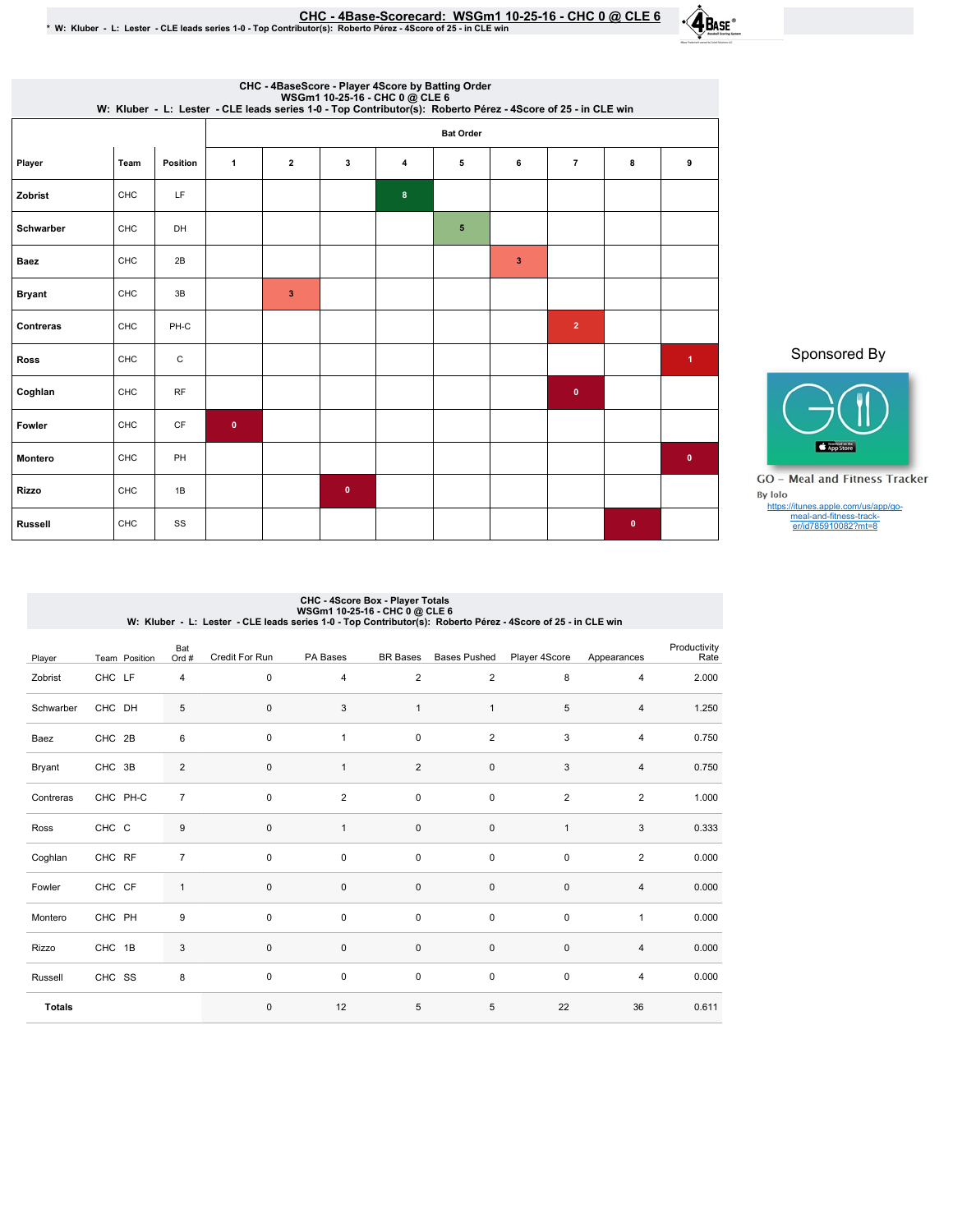| CHC - 4BaseScore - Player 4Score by Batting Order<br>WSGm1 10-25-16 - CHC 0 @ CLE 6<br>W: Kluber - L: Lester - CLE leads series 1-0 - Top Contributor(s): Roberto Pérez - 4Score of 25 - in CLE win |      |              |              |                         |           |                  |   |                         |                |             |              |  |  |  |
|-----------------------------------------------------------------------------------------------------------------------------------------------------------------------------------------------------|------|--------------|--------------|-------------------------|-----------|------------------|---|-------------------------|----------------|-------------|--------------|--|--|--|
|                                                                                                                                                                                                     |      |              |              | <b>Bat Order</b>        |           |                  |   |                         |                |             |              |  |  |  |
| Player                                                                                                                                                                                              | Team | Position     | $\mathbf{1}$ | $\overline{2}$          | 3         | $\overline{4}$   | 5 | 6                       | $\overline{7}$ | 8           | 9            |  |  |  |
| Zobrist                                                                                                                                                                                             | CHC  | LF.          |              |                         |           | $\boldsymbol{8}$ |   |                         |                |             |              |  |  |  |
| Schwarber                                                                                                                                                                                           | CHC  | DH           |              |                         |           |                  | 5 |                         |                |             |              |  |  |  |
| <b>Baez</b>                                                                                                                                                                                         | CHC  | 2B           |              |                         |           |                  |   | $\overline{\mathbf{3}}$ |                |             |              |  |  |  |
| <b>Bryant</b>                                                                                                                                                                                       | CHC  | 3B           |              | $\overline{\mathbf{3}}$ |           |                  |   |                         |                |             |              |  |  |  |
| Contreras                                                                                                                                                                                           | CHC  | PH-C         |              |                         |           |                  |   |                         | $\overline{2}$ |             |              |  |  |  |
| <b>Ross</b>                                                                                                                                                                                         | CHC  | $\mathsf{C}$ |              |                         |           |                  |   |                         |                |             | 1            |  |  |  |
| Coghlan                                                                                                                                                                                             | CHC  | RF           |              |                         |           |                  |   |                         | $\mathbf{0}$   |             |              |  |  |  |
| Fowler                                                                                                                                                                                              | CHC  | CF           | $\bullet$    |                         |           |                  |   |                         |                |             |              |  |  |  |
| Montero                                                                                                                                                                                             | CHC  | PH           |              |                         |           |                  |   |                         |                |             | $\mathbf{0}$ |  |  |  |
| <b>Rizzo</b>                                                                                                                                                                                        | CHC  | 1B           |              |                         | $\pmb{0}$ |                  |   |                         |                |             |              |  |  |  |
| Russell                                                                                                                                                                                             | CHC  | SS           |              |                         |           |                  |   |                         |                | $\mathbf 0$ |              |  |  |  |

CHC - 4Base-Scorecard: WSGm1 10-25-16 - CHC 0 @ CLE 6 ـ «W: Kluber - L: Lester - CLE leads series 1-0 - Top Contributor(s): Roberto Pérez - 4Score of 25 - in CLE win

## Sponsored By

 $\cdot \mathbf{Q}_{\text{Base}}$ 



GO - Meal and Fitness Tracker By Iolo https://itunes.apple.com/us/app/go-meal-and-fitness-track-er/id785910082?mt=8

## CHC - 4Score Box - Player Totals<br>W: Kluber - L: Lester - CLE leads series 1-0 - 75-16 - CHC 0 @ CLE<br>W: Kluber - L: Lester - CLE leads series 1-0 - Top Contributor(s): Roberto Pérez - 4Score of 25 - in CLE win

| Player        | Team Position | Bat<br>Ord #   | Credit For Run | PA Bases       | BR Bases       | <b>Bases Pushed</b> | Player 4Score | Appearances    | Productivity<br>Rate |
|---------------|---------------|----------------|----------------|----------------|----------------|---------------------|---------------|----------------|----------------------|
| Zobrist       | CHC LF        | 4              | $\mathbf 0$    | $\overline{4}$ | $\overline{2}$ | $\overline{2}$      | 8             | $\overline{4}$ | 2.000                |
| Schwarber     | CHC DH        | 5              | $\mathbf 0$    | 3              | $\mathbf{1}$   | $\mathbf{1}$        | 5             | $\overline{4}$ | 1.250                |
| Baez          | CHC 2B        | 6              | 0              | $\overline{1}$ | $\pmb{0}$      | $\overline{2}$      | 3             | $\overline{4}$ | 0.750                |
| Bryant        | CHC 3B        | $\sqrt{2}$     | $\mathbf 0$    | $\overline{1}$ | $\overline{2}$ | $\pmb{0}$           | 3             | $\overline{4}$ | 0.750                |
| Contreras     | CHC PH-C      | $\overline{7}$ | 0              | $\overline{2}$ | $\pmb{0}$      | $\pmb{0}$           | 2             | $\overline{2}$ | 1.000                |
| Ross          | CHC C         | 9              | 0              | $\mathbf{1}$   | 0              | $\pmb{0}$           | $\mathbf{1}$  | 3              | 0.333                |
| Coghlan       | CHC RF        | $\overline{7}$ | 0              | $\pmb{0}$      | $\pmb{0}$      | 0                   | $\pmb{0}$     | $\overline{2}$ | 0.000                |
| Fowler        | CHC CF        | $\mathbf{1}$   | 0              | $\pmb{0}$      | 0              | $\pmb{0}$           | $\pmb{0}$     | $\overline{4}$ | 0.000                |
| Montero       | CHC PH        | 9              | 0              | $\pmb{0}$      | $\pmb{0}$      | 0                   | $\pmb{0}$     | $\mathbf{1}$   | 0.000                |
| Rizzo         | CHC 1B        | $\sqrt{3}$     | $\mathbf 0$    | $\pmb{0}$      | 0              | $\pmb{0}$           | $\pmb{0}$     | $\sqrt{4}$     | 0.000                |
| Russell       | CHC SS        | 8              | $\mathbf 0$    | $\pmb{0}$      | $\pmb{0}$      | 0                   | $\pmb{0}$     | $\overline{4}$ | 0.000                |
| <b>Totals</b> |               |                | 0              | 12             | 5              | 5                   | 22            | 36             | 0.611                |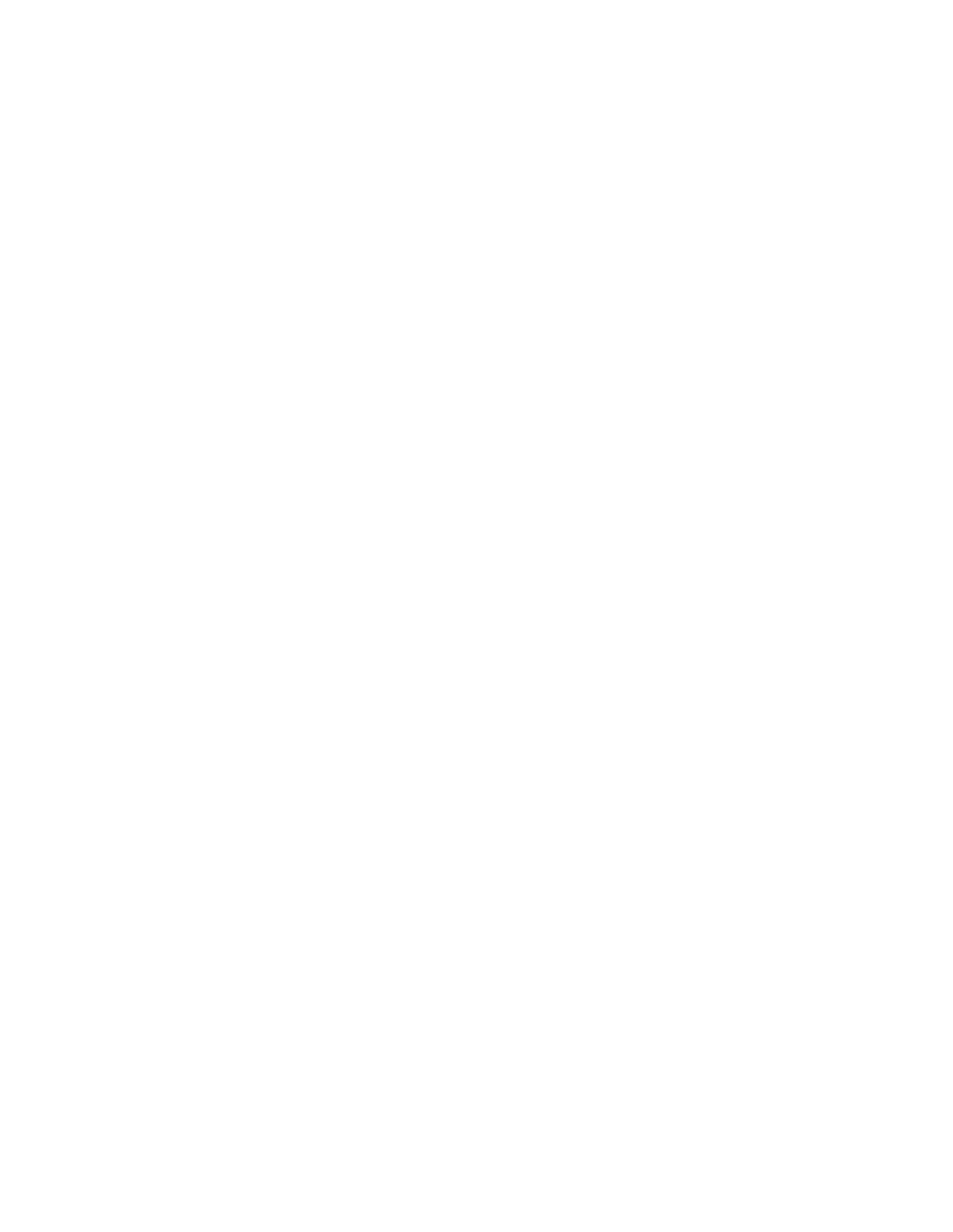|             |         |                  |  | & + & %DVH6FRUH 300 HU 6FRUHE \%DWLQJ 2 UGHU |           |  |            |  |
|-------------|---------|------------------|--|----------------------------------------------|-----------|--|------------|--|
|             |         |                  |  |                                              |           |  | LQ&/ ( ZLQ |  |
|             |         |                  |  |                                              | %DW2 UGHU |  |            |  |
| 300 HU      | 7HDP    | 3 RVIMRQ         |  |                                              |           |  |            |  |
| $=$ REULWV  | $8 + 8$ | $\left( \right)$ |  |                                              |           |  |            |  |
| 6 FKZ DLEHU | $8 + 8$ | $^+$ +           |  |                                              |           |  |            |  |
| %DH         | $8 + 8$ | $\%$             |  |                                              |           |  |            |  |
| %U DOW      | $8 + 8$ | %                |  |                                              |           |  |            |  |
| & ROWHLDV   | $8 + 8$ | $3 + 8$          |  |                                              |           |  |            |  |
| 5 RW        | $8 + 8$ | &                |  |                                              |           |  |            |  |
| & RJ KODQ   | $8 + 8$ | 5)               |  |                                              |           |  |            |  |
| ) RZ OHU    | $8 + 8$ | &)               |  |                                              |           |  |            |  |
| 0 RQMMUR    | $8 + 8$ | $3+$             |  |                                              |           |  |            |  |
| 54]R        | $8 + 8$ | $\%$             |  |                                              |           |  |            |  |
| 5 XVVHO     | $8 + 8$ | 66               |  |                                              |           |  |            |  |

 $8+8$  #  $8/$  (

 $\underbrace{8+8}_{\hspace{1cm}} \underline{9/DMH6FRU+PUG}: 6*P \\:\: . \: \: \text{\textsf{Q}\textsf{E}\textsf{H}\textsf{J}} \: / \: 1 \: \text{\textsf{M}\textsf{M}\textsf{J}} \: 8/(0 \: \text{\textsf{D}\textsf{G}\textsf{V}\textsf{H}\textsf{L}\textsf{H}\textsf{W}} \: 7 \: \text{\textsf{RS}\textsf{R}\textsf{Q}\textsf{M}\textsf{E}\textsf{N}\textsf{R}\textsf{U}\textsf{V}} \: 5 \: \text{\textsf{RE}\textsf{H}\textsf{M}\textsf{R}\text$ 

<u>IV LWACH VDSSON FRP XVDSSJR</u><br>PHDCDOGG LLWOHW WLDFN<br><u>HULG "PW</u>

**6 SROVRUHG%** 

|                                                        |                   |                        |                                                                                 | : $6*P$   | & + & 6 FRUH%R[ 30D\HU7RWDOV<br>$8+8$ # $8/$ ( |                                               |                |                     |
|--------------------------------------------------------|-------------------|------------------------|---------------------------------------------------------------------------------|-----------|------------------------------------------------|-----------------------------------------------|----------------|---------------------|
|                                                        |                   |                        | : .OXEHU / / HWMHU & / (OHDGV VHULHV 7RS & RO WLEXWRUV 5 REHUMR 3 pUH) 6 FRUHRI |           |                                                |                                               | $LQ&V$ ( $ZLQ$ |                     |
| 30 NU                                                  | 7HDP 3RVMLIRQ     | %DW<br>$2 \, \text{L}$ | & UHGLIV) RU5 XQ                                                                | 3\$ %DMHV |                                                | %5 %DVHV %DVHV3XVKHG 300 HU6FRUH \$SSHDUDQFHV |                | 3 URGXFWYUW<br>5 DM |
| $=$ REUMV                                              | $8+8$ ()          |                        |                                                                                 |           |                                                |                                               |                |                     |
| 6FKZDUEHU &+& '+                                       |                   |                        |                                                                                 |           |                                                |                                               |                |                     |
| %DH                                                    | $8+8$ %           |                        |                                                                                 |           |                                                |                                               |                |                     |
| <b>YAJIDQW</b>                                         | $8 + 8$ %         |                        |                                                                                 |           |                                                |                                               |                |                     |
| & ROWHUDV                                              | $& 8 + 8 & 3 + 8$ |                        |                                                                                 |           |                                                |                                               |                |                     |
| 5 RW                                                   | $8 + 8$ $8$       |                        |                                                                                 |           |                                                |                                               |                |                     |
| & RJKODQ                                               | $8+8$ 5)          |                        |                                                                                 |           |                                                |                                               |                |                     |
| ) RZ OHU                                               | $8+8$ $8)$        |                        |                                                                                 |           |                                                |                                               |                |                     |
| 0 ROMUR                                                | $&+8$ 3+          |                        |                                                                                 |           |                                                |                                               |                |                     |
| $5$ <sup><math>\parallel</math></sup> $ $ <sup>R</sup> | $8+8$ %           |                        |                                                                                 |           |                                                |                                               |                |                     |
| 5 XVVHO                                                | $&+866$           |                        |                                                                                 |           |                                                |                                               |                |                     |
| 7RWDOV                                                 |                   |                        |                                                                                 |           |                                                |                                               |                |                     |
|                                                        |                   |                        |                                                                                 |           |                                                |                                               |                |                     |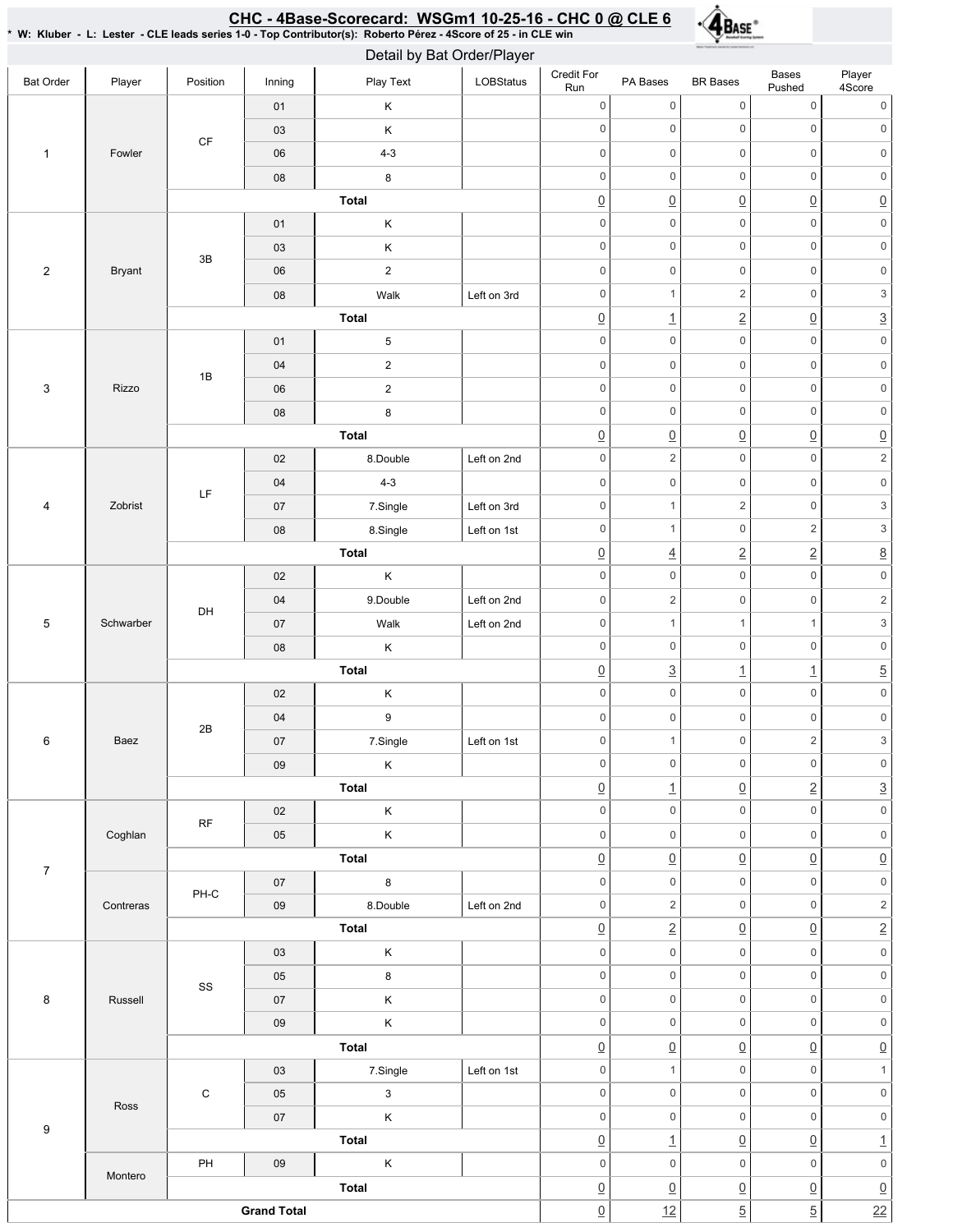| CHC - 4Base-Scorecard: WSGm1 10-25-16 - CHC 0 @ CLE 6 |  |
|-------------------------------------------------------|--|
|                                                       |  |

\*W:Kluber-L:Lester-CLEleadsseries1-0-TopContributor(s):RobertoPérez-4Scoreof25-inCLEwin



| Detail by Bat Order/Player |               |                        |            |                      |             |                                    |                             |                            |                                                                                                                                                                                                                                                                                                                                                                                                                                                                                                                                                                                                                                                                                                                                                                                                      |                               |  |
|----------------------------|---------------|------------------------|------------|----------------------|-------------|------------------------------------|-----------------------------|----------------------------|------------------------------------------------------------------------------------------------------------------------------------------------------------------------------------------------------------------------------------------------------------------------------------------------------------------------------------------------------------------------------------------------------------------------------------------------------------------------------------------------------------------------------------------------------------------------------------------------------------------------------------------------------------------------------------------------------------------------------------------------------------------------------------------------------|-------------------------------|--|
| <b>Bat Order</b>           | Player        | Position               | Inning     | Play Text            | LOBStatus   | Credit For<br>Run                  | PA Bases                    | <b>BR</b> Bases            | Pushed                                                                                                                                                                                                                                                                                                                                                                                                                                                                                                                                                                                                                                                                                                                                                                                               | Player<br>4Score              |  |
|                            |               |                        | 01         | $\sf K$              |             | $\mathsf 0$                        | $\mathsf{0}$                | $\mathbf 0$                | $\mathsf{O}\xspace$                                                                                                                                                                                                                                                                                                                                                                                                                                                                                                                                                                                                                                                                                                                                                                                  | $\mathsf{O}\xspace$           |  |
|                            |               | $\mathsf{C}\mathsf{F}$ | 03         | $\mathsf K$          |             | $\,0\,$                            | $\mathsf{O}\xspace$         | $\mathbf 0$                | $\mathsf 0$                                                                                                                                                                                                                                                                                                                                                                                                                                                                                                                                                                                                                                                                                                                                                                                          | $\mathsf 0$                   |  |
| $\mathbf{1}$               | Fowler        |                        | 06         | $4 - 3$              |             | $\mathsf{O}\xspace$                | $\mathsf{O}\xspace$         | $\mathbf 0$                | $\mathsf{O}\xspace$                                                                                                                                                                                                                                                                                                                                                                                                                                                                                                                                                                                                                                                                                                                                                                                  | $\mathsf{O}\xspace$           |  |
|                            |               |                        | 08         | $\bf 8$              |             | $\mathsf{O}\xspace$                | $\mathsf{O}\xspace$         | $\mathbf 0$                | Bases<br>$\mathsf{O}\xspace$<br>$\underline{0}$<br>$\mathsf{O}\xspace$<br>$\boldsymbol{0}$<br>$\mathbf 0$<br>$\mathsf 0$<br>$\underline{0}$<br>$\mathsf 0$<br>$\mathsf 0$<br>$\mathsf 0$<br>$\mathsf 0$<br>$\underline{0}$<br>$\mathsf{O}\xspace$<br>$\mathsf 0$<br>$\mathsf 0$<br>$\overline{\mathbf{c}}$<br>$\underline{2}$<br>$\mathsf{O}\xspace$<br>$\mathbf 0$<br>$\mathbf{1}$<br>$\mathsf 0$<br>$\overline{1}$<br>$\mathsf 0$<br>$\pmb{0}$<br>$\overline{2}$<br>$\mathbf 0$<br>$\underline{2}$<br>$\mathsf 0$<br>$\mathsf{O}\xspace$<br>$\underline{0}$<br>$\mathsf 0$<br>$\mathsf{O}\xspace$<br>$\underline{0}$<br>$\mathsf 0$<br>$\mathsf 0$<br>$\mathsf 0$<br>$\mathsf{O}\xspace$<br>$\underline{0}$<br>$\mathsf 0$<br>$\mathsf{O}\xspace$<br>$\mathsf 0$<br>$\underline{0}$<br>$\mathsf 0$ | $\mathsf{O}\xspace$           |  |
|                            |               |                        |            | Total                |             | $\underline{0}$                    | $\underline{0}$             | $\underline{0}$            |                                                                                                                                                                                                                                                                                                                                                                                                                                                                                                                                                                                                                                                                                                                                                                                                      | $\underline{0}$               |  |
|                            |               |                        | 01         | $\sf K$              |             | $\mathsf 0$                        | $\mathsf{O}\xspace$         | $\mathbf 0$                |                                                                                                                                                                                                                                                                                                                                                                                                                                                                                                                                                                                                                                                                                                                                                                                                      | $\mathsf{O}\xspace$           |  |
|                            |               | $3\mathsf{B}$          | 03         | $\sf K$              |             | $\mathsf{O}\xspace$                | $\mathbf 0$                 | $\pmb{0}$                  |                                                                                                                                                                                                                                                                                                                                                                                                                                                                                                                                                                                                                                                                                                                                                                                                      | $\mathsf{0}$                  |  |
| $\overline{c}$             | <b>Bryant</b> |                        | 06         | $\mathbf 2$          |             | $\,0\,$                            | $\mathsf{O}\xspace$         | $\pmb{0}$                  |                                                                                                                                                                                                                                                                                                                                                                                                                                                                                                                                                                                                                                                                                                                                                                                                      | $\mathsf{O}\xspace$           |  |
|                            |               |                        | ${\bf 08}$ | Walk                 | Left on 3rd | $\mathsf{0}$                       | $\mathbf{1}$                | $\sqrt{2}$                 |                                                                                                                                                                                                                                                                                                                                                                                                                                                                                                                                                                                                                                                                                                                                                                                                      | $\,$ 3 $\,$                   |  |
|                            |               |                        |            | Total                |             | $\underline{0}$                    | $\overline{1}$              | $\underline{2}$            |                                                                                                                                                                                                                                                                                                                                                                                                                                                                                                                                                                                                                                                                                                                                                                                                      | $\overline{3}$                |  |
|                            |               |                        | $01$       | $\,$ 5 $\,$          |             | $\mathsf{0}$                       | $\mathsf{O}\xspace$         | $\mathbf 0$                |                                                                                                                                                                                                                                                                                                                                                                                                                                                                                                                                                                                                                                                                                                                                                                                                      | $\mathsf{O}\xspace$           |  |
|                            |               | $1B$                   | 04         | $\overline{2}$       |             | $\,0\,$                            | $\mathsf{O}\xspace$         | $\mathbf 0$                |                                                                                                                                                                                                                                                                                                                                                                                                                                                                                                                                                                                                                                                                                                                                                                                                      | $\mathsf{O}\xspace$           |  |
| Rizzo<br>$\sqrt{3}$        |               |                        | 06         | $\overline{2}$       |             | $\mathsf{O}\xspace$                | $\mathsf{O}\xspace$         | $\mathbf 0$                |                                                                                                                                                                                                                                                                                                                                                                                                                                                                                                                                                                                                                                                                                                                                                                                                      | $\mathsf{O}\xspace$           |  |
|                            |               |                        | 08         | $\bf 8$              |             | $\mathsf{O}\xspace$                | $\mathsf{O}\xspace$         | $\mathbf 0$                |                                                                                                                                                                                                                                                                                                                                                                                                                                                                                                                                                                                                                                                                                                                                                                                                      | $\mathsf{0}$                  |  |
|                            |               |                        |            | Total                |             | $\underline{0}$                    | $\underline{0}$             | $\underline{0}$            |                                                                                                                                                                                                                                                                                                                                                                                                                                                                                                                                                                                                                                                                                                                                                                                                      | $\underline{0}$               |  |
|                            |               |                        | 02         | 8.Double             | Left on 2nd | $\mathbf 0$                        | $\sqrt{2}$                  | $\mathbf 0$                |                                                                                                                                                                                                                                                                                                                                                                                                                                                                                                                                                                                                                                                                                                                                                                                                      | $\sqrt{2}$                    |  |
|                            |               | LF                     | 04         | $4 - 3$              |             | $\mathbf 0$                        | $\mathsf{O}\xspace$         | $\mathsf{O}\xspace$        |                                                                                                                                                                                                                                                                                                                                                                                                                                                                                                                                                                                                                                                                                                                                                                                                      | $\mathsf{O}\xspace$           |  |
| 4                          | Zobrist       |                        | 07         | 7.Single             | Left on 3rd | $\mathsf{O}\xspace$                | $\mathbf{1}$                | $\sqrt{2}$                 |                                                                                                                                                                                                                                                                                                                                                                                                                                                                                                                                                                                                                                                                                                                                                                                                      | $\,$ 3 $\,$                   |  |
|                            |               |                        | 08         | 8.Single             | Left on 1st | $\mathbf 0$                        | $\mathbf{1}$                | $\mathbf 0$                |                                                                                                                                                                                                                                                                                                                                                                                                                                                                                                                                                                                                                                                                                                                                                                                                      | $\,$ 3 $\,$                   |  |
|                            |               |                        |            | Total                |             | $\underline{0}$                    | $\overline{4}$              | $\underline{2}$            |                                                                                                                                                                                                                                                                                                                                                                                                                                                                                                                                                                                                                                                                                                                                                                                                      | $\underline{8}$               |  |
|                            |               |                        | 02         | Κ                    |             | $\mathsf{O}\xspace$                | $\mathsf{O}\xspace$         | $\mathsf 0$                |                                                                                                                                                                                                                                                                                                                                                                                                                                                                                                                                                                                                                                                                                                                                                                                                      | $\mathsf{O}\xspace$           |  |
| $\,$ 5 $\,$                |               | DH                     | 04         | 9.Double             | Left on 2nd | $\mathsf{0}$                       | $\sqrt{2}$                  | $\mathbf 0$                |                                                                                                                                                                                                                                                                                                                                                                                                                                                                                                                                                                                                                                                                                                                                                                                                      | $\overline{c}$                |  |
|                            | Schwarber     |                        | $07$       | Walk                 | Left on 2nd | $\mathsf{O}\xspace$                | $\mathbf{1}$                | $\mathbf{1}$               |                                                                                                                                                                                                                                                                                                                                                                                                                                                                                                                                                                                                                                                                                                                                                                                                      | $\,$ 3 $\,$                   |  |
|                            |               |                        | ${\bf 08}$ | $\sf K$              |             | $\boldsymbol{0}$                   | $\mathsf{O}\xspace$         | $\mathbf 0$                |                                                                                                                                                                                                                                                                                                                                                                                                                                                                                                                                                                                                                                                                                                                                                                                                      | $\mathsf{O}\xspace$           |  |
|                            |               |                        |            | Total                |             | $\underline{0}$                    | $\underline{3}$             | $\overline{1}$             |                                                                                                                                                                                                                                                                                                                                                                                                                                                                                                                                                                                                                                                                                                                                                                                                      | $\overline{5}$                |  |
|                            |               |                        | $02\,$     | Κ                    |             | $\boldsymbol{0}$                   | $\mathsf{O}\xspace$         | $\mathbf 0$                |                                                                                                                                                                                                                                                                                                                                                                                                                                                                                                                                                                                                                                                                                                                                                                                                      | $\mathsf{O}\xspace$           |  |
|                            |               | $2\mathsf{B}$          | 04         | $\boldsymbol{9}$     |             | $\mathbf 0$                        | $\mathsf{O}\xspace$         | $\mathbf 0$                |                                                                                                                                                                                                                                                                                                                                                                                                                                                                                                                                                                                                                                                                                                                                                                                                      | $\mathsf{0}$                  |  |
| 6                          | Baez          |                        | 07         | 7.Single             | Left on 1st | $\mathbf 0$<br>$\mathsf{O}\xspace$ | $\mathbf{1}$<br>$\mathbf 0$ | $\mathsf 0$<br>$\mathbf 0$ |                                                                                                                                                                                                                                                                                                                                                                                                                                                                                                                                                                                                                                                                                                                                                                                                      | $\mathfrak{S}$<br>$\mathbb O$ |  |
|                            |               |                        | 09         | $\mathsf K$<br>Total |             | $\underline{0}$                    | $\overline{1}$              | $\underline{0}$            |                                                                                                                                                                                                                                                                                                                                                                                                                                                                                                                                                                                                                                                                                                                                                                                                      | $\underline{3}$               |  |
|                            |               |                        | $02\,$     | $\mathsf K$          |             | $\overline{0}$                     | $\overline{0}$              | $\mathbf 0$                |                                                                                                                                                                                                                                                                                                                                                                                                                                                                                                                                                                                                                                                                                                                                                                                                      | $\mathsf{O}\xspace$           |  |
|                            | Coghlan       | $\sf RF$               | 05         | $\mathsf K$          |             | $\mathsf{O}\xspace$                | $\mathsf{O}\xspace$         | $\mathbf 0$                |                                                                                                                                                                                                                                                                                                                                                                                                                                                                                                                                                                                                                                                                                                                                                                                                      | $\mathsf{O}\xspace$           |  |
|                            |               |                        |            | Total                |             | $\underline{0}$                    | $\underline{0}$             | $\overline{0}$             |                                                                                                                                                                                                                                                                                                                                                                                                                                                                                                                                                                                                                                                                                                                                                                                                      | $\underline{0}$               |  |
| $\overline{7}$             |               |                        | $07\,$     | $\bf{8}$             |             | $\mathsf 0$                        | $\overline{0}$              | $\mathbf 0$                |                                                                                                                                                                                                                                                                                                                                                                                                                                                                                                                                                                                                                                                                                                                                                                                                      | $\mathsf{O}\xspace$           |  |
|                            | Contreras     | PH-C                   | 09         | 8.Double             | Left on 2nd | $\overline{0}$                     | $\sqrt{2}$                  | $\mathsf 0$                |                                                                                                                                                                                                                                                                                                                                                                                                                                                                                                                                                                                                                                                                                                                                                                                                      | $\overline{c}$                |  |
|                            |               |                        |            | Total                |             | $\underline{0}$                    | $\underline{2}$             | $\underline{0}$            |                                                                                                                                                                                                                                                                                                                                                                                                                                                                                                                                                                                                                                                                                                                                                                                                      | $\overline{2}$                |  |
|                            |               |                        | 03         | $\sf K$              |             | $\mathsf 0$                        | $\mathsf{O}\,$              | $\mathsf 0$                |                                                                                                                                                                                                                                                                                                                                                                                                                                                                                                                                                                                                                                                                                                                                                                                                      | $\mathsf{O}\xspace$           |  |
|                            |               |                        | 05         | 8                    |             | $\mathsf{O}\xspace$                | $\overline{0}$              | $\mathbf 0$                |                                                                                                                                                                                                                                                                                                                                                                                                                                                                                                                                                                                                                                                                                                                                                                                                      | $\mathsf{O}\xspace$           |  |
| 8                          | Russell       | $_{\rm SS}$            | 07         | $\mathsf K$          |             | $\overline{0}$                     | $\overline{0}$              | $\mathsf{O}\xspace$        |                                                                                                                                                                                                                                                                                                                                                                                                                                                                                                                                                                                                                                                                                                                                                                                                      | $\mathsf{O}\xspace$           |  |
|                            |               |                        | 09         | K                    |             | $\mathsf 0$                        | $\overline{0}$              | $\mathbf 0$                |                                                                                                                                                                                                                                                                                                                                                                                                                                                                                                                                                                                                                                                                                                                                                                                                      | $\mathsf{O}\xspace$           |  |
|                            |               |                        |            | Total                |             | $\underline{0}$                    | $\underline{0}$             | $\underline{0}$            |                                                                                                                                                                                                                                                                                                                                                                                                                                                                                                                                                                                                                                                                                                                                                                                                      | $\underline{0}$               |  |
|                            |               |                        | 03         | 7.Single             | Left on 1st | $\mathsf 0$                        | 1                           | $\mathbf 0$                |                                                                                                                                                                                                                                                                                                                                                                                                                                                                                                                                                                                                                                                                                                                                                                                                      | $\mathbf{1}$                  |  |
|                            |               | С                      | 05         | $\mathbf{3}$         |             | $\mathbf 0$                        | $\overline{0}$              | $\mathbf 0$                |                                                                                                                                                                                                                                                                                                                                                                                                                                                                                                                                                                                                                                                                                                                                                                                                      | $\mathsf{O}\xspace$           |  |
|                            | Ross          |                        | 07         | $\mathsf K$          |             | $\mathsf 0$                        | $\overline{0}$              | $\mathbf 0$                |                                                                                                                                                                                                                                                                                                                                                                                                                                                                                                                                                                                                                                                                                                                                                                                                      | $\mathsf{O}\xspace$           |  |
| 9                          |               | Total                  |            |                      |             | $\underline{0}$                    | $\overline{1}$              | $\underline{0}$            |                                                                                                                                                                                                                                                                                                                                                                                                                                                                                                                                                                                                                                                                                                                                                                                                      | $\underline{\mathbf{1}}$      |  |
|                            |               | PH                     | 09         | $\mathsf K$          |             | $\mathsf 0$                        | $\overline{0}$              | $\mathbf 0$                |                                                                                                                                                                                                                                                                                                                                                                                                                                                                                                                                                                                                                                                                                                                                                                                                      | $\mathsf{O}\xspace$           |  |
|                            | Montero       |                        |            | Total                |             | $\underline{0}$                    | $\underline{0}$             | $\underline{0}$            | $\underline{0}$                                                                                                                                                                                                                                                                                                                                                                                                                                                                                                                                                                                                                                                                                                                                                                                      | $\underline{0}$               |  |
| <b>Grand Total</b>         |               |                        |            |                      |             | $\underline{0}$                    | 12                          | $\overline{5}$             | $\overline{5}$                                                                                                                                                                                                                                                                                                                                                                                                                                                                                                                                                                                                                                                                                                                                                                                       | 22                            |  |
|                            |               |                        |            |                      |             |                                    |                             |                            |                                                                                                                                                                                                                                                                                                                                                                                                                                                                                                                                                                                                                                                                                                                                                                                                      |                               |  |